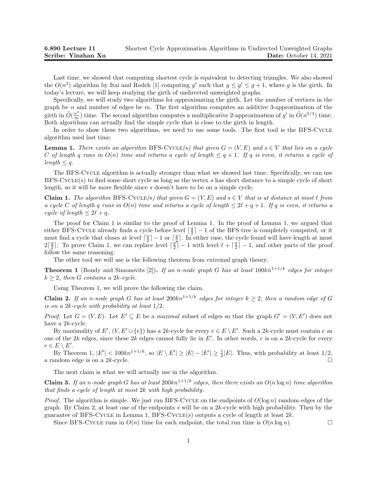Last time, we showed that computing shortest cycle is equivalent to detecting triangles. We also showed the  $O(n^2)$  algorithm by Itai and Rodeh [1] computing g' such that  $g \leq g' \leq g+1$ , where g is the girth. In today's lecture, we will keep studying the girth of undirected unweighted graphs.

Specifically, we will study two algorithms for approximating the girth. Let the number of vertices in the graph be n and number of edges be m. The first algorithm computes an additive 3-approximation of the girth in  $\tilde{O}(\frac{n^3}{m})$  time. The second algorithm computes a multiplicative 2-approximation of g' in  $\tilde{O}(n^{5/3})$  time. Both algorithms can actually find the simple cycle that is close to the girth in length.

In order to show these two algorithms, we need to use some tools. The first tool is the BFS-CYCLE algorithm used last time.

**Lemma 1.** There exists an algorithm BFS-CYCLE(s) that given  $G = (V, E)$  and  $s \in V$  that lies on a cycle C of length q runs in  $O(n)$  time and returns a cycle of length  $\leq q+1$ . If q is even, it returns a cycle of  $length \leq q$ .

The BFS-Cycle algorithm is actually stronger than what we showed last time. Specifically, we can use BFS-Cycle(s) to find some short cycle as long as the vertex s has short distance to a simple cycle of short length, so it will be more flexible since s doesn't have to be on a simple cycle.

**Claim 1.** The algorithm BFS-CYCLE(s) that given  $G = (V, E)$  and  $s \in V$  that is at distance at most  $\ell$  from a cycle C of length q runs in  $O(n)$  time and returns a cycle of length  $\leq 2\ell + q + 1$ . If q is even, it returns a cycle of length  $\leq 2\ell + q$ .

The proof for Claim 1 is similar to the proof of Lemma 1. In the proof of Lemma 1, we argued that either BFS-CYCLE already finds a cycle before level  $\lceil \frac{q}{2} \rceil - 1$  of the BFS tree is completely computed, or it must find a cycle that closes at level  $\lceil \frac{q}{2} \rceil - 1$  or  $\lceil \frac{q}{2} \rceil$ . In either case, the cycle found will have length at most  $2\lceil \frac{q}{2} \rceil$ . To prove Claim 1, we can replace level  $\lceil \frac{q}{2} \rceil - 1$  with level  $\ell + \lceil \frac{q}{2} \rceil - 1$ , and other parts of the proof follow the same reasoning.

The other tool we will use is the following theorem from extremal graph theory.

**Theorem 1** (Bondy and Simonovits [2]). If an n-node graph G has at least  $100kn^{1+1/k}$  edges for integer  $k \geq 2$ , then G contains a 2k-cycle.

Using Theorem 1, we will prove the following the claim.

**Claim 2.** If an n-node graph G has at least  $200kn^{1+1/k}$  edges for integer  $k \geq 2$ , then a random edge of G is on a 2k-cycle with probability at least 1/2.

*Proof.* Let  $G = (V, E)$ . Let  $E' \subseteq E$  be a maximal subset of edges so that the graph  $G' = (V, E')$  does not have a 2k-cycle.

By maximality of E',  $(V, E' \cup \{e\})$  has a 2k-cycle for every  $e \in E \setminus E'$ . Such a 2k-cycle must contain e as one of the 2k edges, since these 2k edges cannot fully lie in  $E'$ . In other words, e is on a 2k-cycle for every  $e \in E \setminus E'.$ 

By Theorem 1,  $|E'| < 100kn^{1+1/k}$ , so  $|E \setminus E'| \ge |E| - |E'| \ge \frac{1}{2}|E|$ . Thus, with probability at least 1/2, a random edge is on a 2k-cycle.  $\square$ 

The next claim is what we will actually use in the algorithm.

Claim 3. If an n-node graph G has at least  $200kn^{1+1/k}$  edges, then there exists an  $O(n \log n)$  time algorithm that finds a cycle of length at most 2k with high probability.

*Proof.* The algorithm is simple. We just run BFS-CYCLE on the endpoints of  $O(\log n)$  random edges of the graph. By Claim 2, at least one of the endpoints s will be on a  $2k$ -cycle with high probability. Then by the guarantee of BFS-CYCLE in Lemma 1, BFS-CYCLE(s) outputs a cycle of length at least  $2k$ .

Since BFS-CYCLE runs in  $O(n)$  time for each endpoint, the total run time is  $O(n \log n)$ .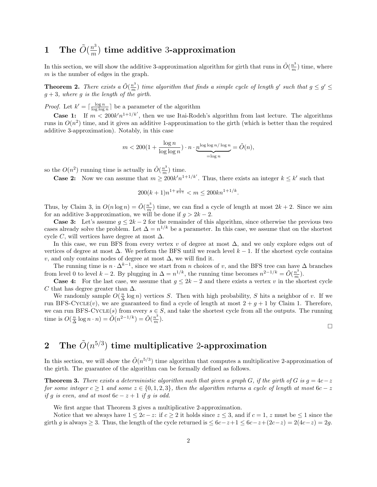## 1 The  $\tilde{O}(\frac{n^3}{m})$  $\binom{n^{\alpha}}{m}$  time additive 3-approximation

In this section, we will show the additive 3-approximation algorithm for girth that runs in  $\tilde{O}(\frac{n^3}{m})$  time, where m is the number of edges in the graph.

**Theorem 2.** There exists a  $\tilde{O}(\frac{n^3}{m})$  time algorithm that finds a simple cycle of length g' such that  $g \leq g' \leq$  $g + 3$ , where g is the length of the girth.

*Proof.* Let  $k' = \lceil \frac{\log n}{\log \log n} \rceil$  be a parameter of the algorithm

**Case 1:** If  $m < 200k'n^{1+1/k'}$ , then we use Itai-Rodeh's algorithm from last lecture. The algorithms runs in  $O(n^2)$  time, and it gives an additive 1-approximation to the girth (which is better than the required additive 3-approximation). Notably, in this case

$$
m < 200(1+\frac{\log n}{\log\log n})\cdot n \cdot \underbrace{n^{\log\log n/\log n}}_{=\log n} = \tilde{O}(n),
$$

so the  $O(n^2)$  running time is actually in  $\tilde{O}(\frac{n^3}{m})$  time.

**Case 2:** Now we can assume that  $m \geq 200k'n^{1+1/k'}$ . Thus, there exists an integer  $k \leq k'$  such that

$$
200(k+1)n^{1+\frac{1}{k+1}} < m \le 200kn^{1+1/k}.
$$

Thus, by Claim 3, in  $O(n \log n) = \tilde{O}(\frac{n^3}{m})$  time, we can find a cycle of length at most  $2k + 2$ . Since we aim for an additive 3-approximation, we will be done if  $g > 2k - 2$ .

**Case 3:** Let's assume  $g \leq 2k - 2$  for the remainder of this algorithm, since otherwise the previous two cases already solve the problem. Let  $\Delta = n^{1/k}$  be a parameter. In this case, we assume that on the shortest cycle C, will vertices have degree at most  $\Delta$ .

In this case, we run BFS from every vertex v of degree at most  $\Delta$ , and we only explore edges out of vertices of degree at most  $\Delta$ . We perform the BFS until we reach level  $k-1$ . If the shortest cycle contains v, and only contains nodes of degree at most  $\Delta$ , we will find it.

The running time is  $n \cdot \Delta^{k-1}$ , since we start from n choices of v, and the BFS tree can have  $\Delta$  branches from level 0 to level  $k-2$ . By plugging in  $\Delta = n^{1/k}$ , the running time becomes  $n^{2-1/k} = \tilde{O}(\frac{n^3}{m})$ .

**Case 4:** For the last case, we assume that  $g \leq 2k - 2$  and there exists a vertex v in the shortest cycle C that has degree greater than  $\Delta$ .

We randomly sample  $O(\frac{n}{\Delta}\log n)$  vertices S. Then with high probability, S hits a neighbor of v. If we run BFS-CYCLE(v), we are guaranteed to find a cycle of length at most  $2 + g + 1$  by Claim 1. Therefore, we can run BFS-CYCLE(s) from every  $s \in S$ , and take the shortest cycle from all the outputs. The running time is  $O(\frac{n}{\Delta}\log n \cdot n) = \tilde{O}(n^{2-1/k}) = \tilde{O}(\frac{n^3}{m}).$ 

 $\Box$ 

## 2 The  $\tilde{O}(n^{5/3})$  time multiplicative 2-approximation

In this section, we will show the  $\tilde{O}(n^{5/3})$  time algorithm that computes a multiplicative 2-approximation of the girth. The guarantee of the algorithm can be formally defined as follows.

**Theorem 3.** There exists a deterministic algorithm such that given a graph G, if the girth of G is  $g = 4c-z$ for some integer  $c \ge 1$  and some  $z \in \{0, 1, 2, 3\}$ , then the algorithm returns a cycle of length at most  $6c - z$ if g is even, and at most  $6c - z + 1$  if g is odd.

We first argue that Theorem 3 gives a multiplicative 2-approximation.

Notice that we always have  $1 \leq 2c - z$ : if  $c \geq 2$  it holds since  $z \leq 3$ , and if  $c = 1$ , z must be  $\leq 1$  since the girth g is always  $\geq 3$ . Thus, the length of the cycle returned is  $\leq 6c-z+1 \leq 6c-z+(2c-z)=2(4c-z)=2g$ .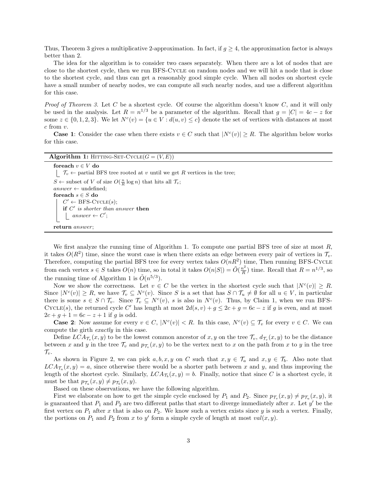Thus, Theorem 3 gives a multiplicative 2-approximation. In fact, if  $q \geq 4$ , the approximation factor is always better than 2.

The idea for the algorithm is to consider two cases separately. When there are a lot of nodes that are close to the shortest cycle, then we run BFS-Cycle on random nodes and we will hit a node that is close to the shortest cycle, and thus can get a reasonably good simple cycle. When all nodes on shortest cycle have a small number of nearby nodes, we can compute all such nearby nodes, and use a different algorithm for this case.

*Proof of Theorem 3.* Let C be a shortest cycle. Of course the algorithm doesn't know C, and it will only be used in the analysis. Let  $R = n^{1/3}$  be a parameter of the algorithm. Recall that  $g = |C| = 4c - z$  for some  $z \in \{0, 1, 2, 3\}$ . We let  $N^c(v) = \{u \in V : d(u, v) \le c\}$  denote the set of vertices with distances at most  $c$  from  $v$ .

**Case 1:** Consider the case when there exists  $v \in C$  such that  $|N^c(v)| \geq R$ . The algorithm below works for this case.

Algorithm 1: HITTING-SET-CYCLE $(G = (V, E))$ 

for<br>each  $v \in V$  do  $\Box$   $\mathcal{T}_v \leftarrow$  partial BFS tree rooted at v until we get R vertices in the tree;  $S \leftarrow \text{subset of } V \text{ of size } O(\frac{n}{R} \log n) \text{ that hits all } \mathcal{T}_v;$  $answer \leftarrow$  undefined; for<br>each  $s \in S$  do  $C' \leftarrow$  BFS-CYCLE(s); if  $C'$  is shorter than answer then  $answer \leftarrow C';$ return answer;

We first analyze the running time of Algorithm 1. To compute one partial BFS tree of size at most  $R$ , it takes  $O(R^2)$  time, since the worst case is when there exists an edge between every pair of vertices in  $\mathcal{T}_v$ . Therefore, computing the partial BFS tree for every vertex takes  $O(nR^2)$  time, Then running BFS-CYCLE from each vertex  $s \in S$  takes  $O(n)$  time, so in total it takes  $O(n|S|) = \tilde{O}(\frac{n^2}{R})$  $\frac{n^2}{R}$ ) time. Recall that  $R = n^{1/3}$ , so the running time of Algorithm 1 is  $\tilde{O}(n^{5/3})$ .

Now we show the correctness. Let  $v \in C$  be the vertex in the shortest cycle such that  $|N^c(v)| \geq R$ . Since  $|N^c(v)| \ge R$ , we have  $\mathcal{T}_v \subseteq N^c(v)$ . Since S is a set that has  $S \cap \mathcal{T}_u \ne \emptyset$  for all  $u \in V$ , in particular there is some  $s \in S \cap \mathcal{T}_v$ . Since  $\mathcal{T}_v \subseteq N^c(v)$ , s is also in  $N^c(v)$ . Thus, by Claim 1, when we run BFS-CYCLE(s), the returned cycle C' has length at most  $2d(s, v) + g \leq 2c + g = 6c - z$  if g is even, and at most  $2c + g + 1 = 6c - z + 1$  if g is odd.

**Case 2:** Now assume for every  $v \in C$ ,  $|N^c(v)| < R$ . In this case,  $N^c(v) \subseteq \mathcal{T}_v$  for every  $v \in C$ . We can compute the girth exactly in this case.

Define  $LCA_{\mathcal{T}_v}(x,y)$  to be the lowest common ancestor of  $x, y$  on the tree  $\mathcal{T}_v$ ,  $d_{\mathcal{T}_v}(x,y)$  to be the distance between x and y in the tree  $\mathcal{T}_v$  and  $p_{\mathcal{T}_v}(x, y)$  to be the vertex next to x on the path from x to y in the tree  $\mathcal{T}_v$ .

As shown in Figure 2, we can pick  $a, b, x, y$  on C such that  $x, y \in \mathcal{T}_a$  and  $x, y \in \mathcal{T}_b$ . Also note that  $LCA_{\mathcal{T}_a}(x,y) = a$ , since otherwise there would be a shorter path between x and y, and thus improving the length of the shortest cycle. Similarly,  $LCA_{\mathcal{T}_b}(x, y) = b$ . Finally, notice that since C is a shortest cycle, it must be that  $p_{\mathcal{T}_a}(x, y) \neq p_{\mathcal{T}_b}(x, y)$ .

Based on these observations, we have the following algorithm.

First we elaborate on how to get the simple cycle enclosed by  $P_1$  and  $P_2$ . Since  $p_{\mathcal{T}_v}(x, y) \neq p_{\mathcal{T}_u}(x, y)$ , it is guaranteed that  $P_1$  and  $P_2$  are two different paths that start to diverge immediately after x. Let  $y'$  be the first vertex on  $P_1$  after x that is also on  $P_2$ . We know such a vertex exists since y is such a vertex. Finally, the portions on  $P_1$  and  $P_2$  from x to y' form a simple cycle of length at most  $val(x, y)$ .